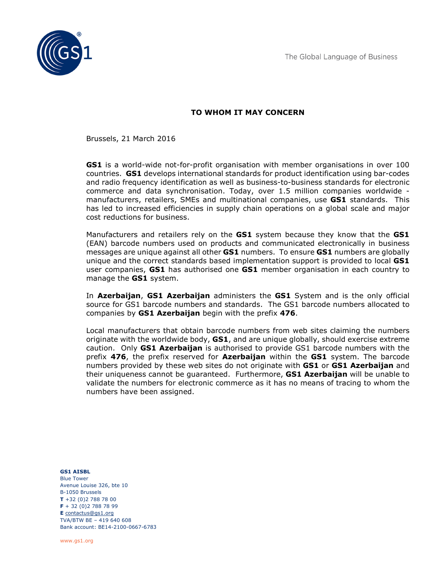The Global Language of Business



## TO WHOM IT MAY CONCERN

Brussels, 21 March 2016

**GS1** is a world-wide not-for-profit organisation with member organisations in over 100 countries. GS1 develops international standards for product identification using bar-codes and radio frequency identification as well as business-to-business standards for electronic commerce and data synchronisation. Today, over 1.5 million companies worldwide manufacturers, retailers, SMEs and multinational companies, use GS1 standards. This has led to increased efficiencies in supply chain operations on a global scale and major cost reductions for business.

Manufacturers and retailers rely on the **GS1** system because they know that the **GS1** (EAN) barcode numbers used on products and communicated electronically in business messages are unique against all other **GS1** numbers. To ensure **GS1** numbers are globally unique and the correct standards based implementation support is provided to local GS1 user companies, GS1 has authorised one GS1 member organisation in each country to manage the **GS1** system.

In Azerbaijan, GS1 Azerbaijan administers the GS1 System and is the only official source for GS1 barcode numbers and standards. The GS1 barcode numbers allocated to companies by GS1 Azerbaijan begin with the prefix 476.

Local manufacturers that obtain barcode numbers from web sites claiming the numbers originate with the worldwide body,  $GSI$ , and are unique globally, should exercise extreme caution. Only **GS1 Azerbaijan** is authorised to provide GS1 barcode numbers with the prefix 476, the prefix reserved for **Azerbaijan** within the GS1 system. The barcode numbers provided by these web sites do not originate with **GS1** or **GS1 Azerbaijan** and their uniqueness cannot be guaranteed. Furthermore, **GS1 Azerbaijan** will be unable to validate the numbers for electronic commerce as it has no means of tracing to whom the numbers have been assigned.

GS1 AISBL Blue Tower Avenue Louise 326, bte 10 B-1050 Brussels  $T + 32 (0)2 788 78 00$ F + 32 (0)2 788 78 99 E contactus@gs1.org TVA/BTW BE – 419 640 608 Bank account: BE14-2100-0667-6783

www.gs1.org